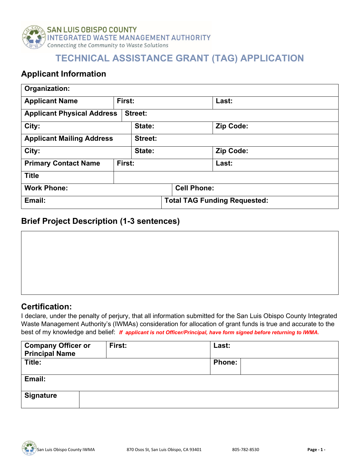

## **TECHNICAL ASSISTANCE GRANT (TAG) APPLICATION**

### **Applicant Information**

| Organization:                               |                |  |                                     |                    |           |           |
|---------------------------------------------|----------------|--|-------------------------------------|--------------------|-----------|-----------|
| <b>Applicant Name</b>                       | First:         |  |                                     |                    | Last:     |           |
| <b>Applicant Physical Address</b>           | <b>Street:</b> |  |                                     |                    |           |           |
| City:<br>State:                             |                |  |                                     |                    | Zip Code: |           |
| <b>Applicant Mailing Address</b><br>Street: |                |  |                                     |                    |           |           |
| City:<br>State:                             |                |  |                                     |                    |           | Zip Code: |
| <b>Primary Contact Name</b>                 | First:         |  |                                     |                    | Last:     |           |
| <b>Title</b>                                |                |  |                                     |                    |           |           |
| <b>Work Phone:</b>                          |                |  |                                     | <b>Cell Phone:</b> |           |           |
| Email:                                      |                |  | <b>Total TAG Funding Requested:</b> |                    |           |           |

#### **Brief Project Description (1-3 sentences)**

#### **Certification:**

I declare, under the penalty of perjury, that all information submitted for the San Luis Obispo County Integrated Waste Management Authority's (IWMAs) consideration for allocation of grant funds is true and accurate to the best of my knowledge and belief: *If applicant is not Officer/Principal, have form signed before returning to IWMA.*

| <b>Company Officer or</b><br><b>Principal Name</b> | First: | Last:         |  |
|----------------------------------------------------|--------|---------------|--|
| Title:                                             |        | <b>Phone:</b> |  |
| Email:                                             |        |               |  |
| <b>Signature</b>                                   |        |               |  |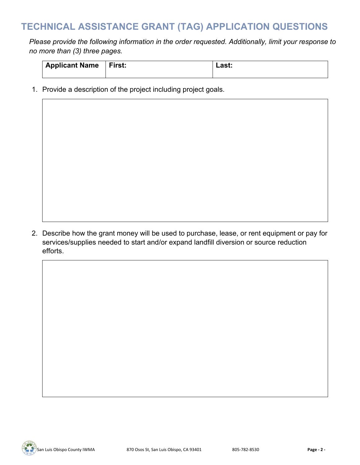# **TECHNICAL ASSISTANCE GRANT (TAG) APPLICATION QUESTIONS**

*Please provide the following information in the order requested. Additionally, limit your response to no more than (3) three pages.*

| Applicant Name First:<br>Last: |  |
|--------------------------------|--|
|--------------------------------|--|

1. Provide a description of the project including project goals.

2. Describe how the grant money will be used to purchase, lease, or rent equipment or pay for services/supplies needed to start and/or expand landfill diversion or source reduction efforts.

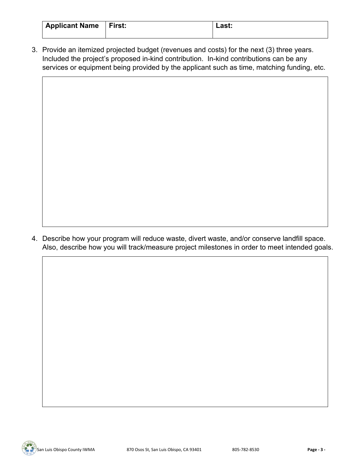| Applicant Name   First: | Last: |
|-------------------------|-------|
|                         |       |

3. Provide an itemized projected budget (revenues and costs) for the next (3) three years. Included the project's proposed in-kind contribution. In-kind contributions can be any services or equipment being provided by the applicant such as time, matching funding, etc.

4. Describe how your program will reduce waste, divert waste, and/or conserve landfill space. Also, describe how you will track/measure project milestones in order to meet intended goals.